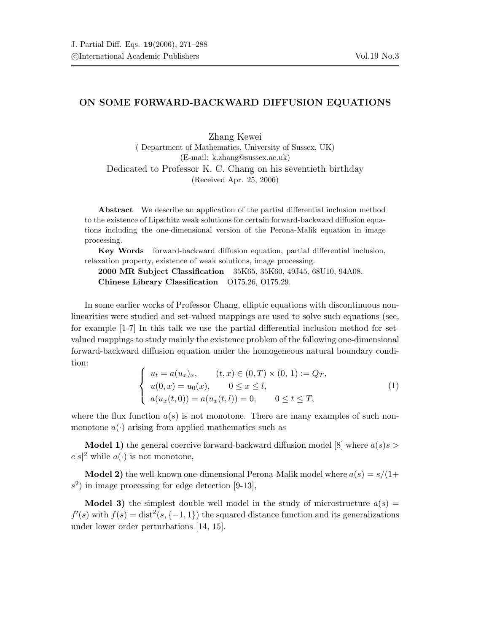## ON SOME FORWARD-BACKWARD DIFFUSION EQUATIONS

Zhang Kewei ( Department of Mathematics, University of Sussex, UK) (E-mail: k.zhang@sussex.ac.uk) Dedicated to Professor K. C. Chang on his seventieth birthday (Received Apr. 25, 2006)

Abstract We describe an application of the partial differential inclusion method to the existence of Lipschitz weak solutions for certain forward-backward diffusion equations including the one-dimensional version of the Perona-Malik equation in image processing.

Key Words forward-backward diffusion equation, partial differential inclusion, relaxation property, existence of weak solutions, image processing.

2000 MR Subject Classification 35K65, 35K60, 49J45, 68U10, 94A08. Chinese Library Classification O175.26, O175.29.

In some earlier works of Professor Chang, elliptic equations with discontinuous nonlinearities were studied and set-valued mappings are used to solve such equations (see, for example [1-7] In this talk we use the partial differential inclusion method for setvalued mappings to study mainly the existence problem of the following one-dimensional forward-backward diffusion equation under the homogeneous natural boundary condition:

$$
\begin{cases}\n u_t = a(u_x)_x, & (t, x) \in (0, T) \times (0, 1) := Q_T, \\
u(0, x) = u_0(x), & 0 \le x \le l, \\
a(u_x(t, 0)) = a(u_x(t, l)) = 0, & 0 \le t \le T,\n\end{cases}
$$
\n(1)

where the flux function  $a(s)$  is not monotone. There are many examples of such nonmonotone  $a(\cdot)$  arising from applied mathematics such as

**Model 1)** the general coercive forward-backward diffusion model [8] where  $a(s)s$  $c|s|^2$  while  $a(\cdot)$  is not monotone,

**Model 2)** the well-known one-dimensional Perona-Malik model where  $a(s) = s/(1+s)$  $s<sup>2</sup>$ ) in image processing for edge detection [9-13],

**Model 3)** the simplest double well model in the study of microstructure  $a(s)$  =  $f'(s)$  with  $f(s) = \text{dist}^2(s, \{-1, 1\})$  the squared distance function and its generalizations under lower order perturbations [14, 15].